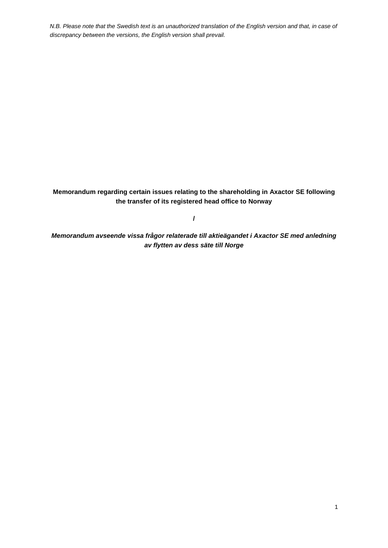**Memorandum regarding certain issues relating to the shareholding in Axactor SE following the transfer of its registered head office to Norway**

**/**

*Memorandum avseende vissa frågor relaterade till aktieägandet i Axactor SE med anledning av flytten av dess säte till Norge*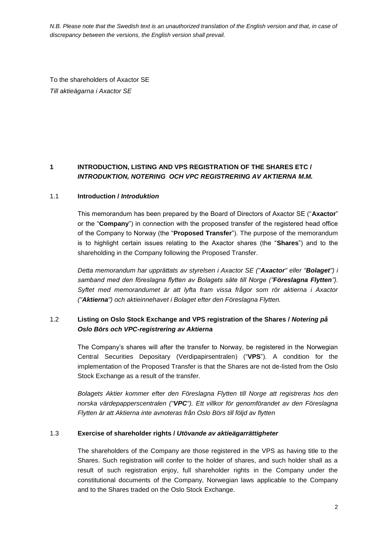To the shareholders of Axactor SE *Till aktieägarna i Axactor SE*

# **1 INTRODUCTION, LISTING AND VPS REGISTRATION OF THE SHARES ETC /**  *INTRODUKTION, NOTERING OCH VPC REGISTRERING AV AKTIERNA M.M.*

### 1.1 **Introduction /** *Introduktion*

This memorandum has been prepared by the Board of Directors of Axactor SE ("**Axactor**" or the "**Company**") in connection with the proposed transfer of the registered head office of the Company to Norway (the "**Proposed Transfer**"). The purpose of the memorandum is to highlight certain issues relating to the Axactor shares (the "**Shares**") and to the shareholding in the Company following the Proposed Transfer.

*Detta memorandum har upprättats av styrelsen i Axactor SE ("Axactor" eller "Bolaget") i samband med den föreslagna flytten av Bolagets säte till Norge ("Föreslagna Flytten"). Syftet med memorandumet är att lyfta fram vissa frågor som rör aktierna i Axactor ("Aktierna") och aktieinnehavet i Bolaget efter den Föreslagna Flytten.*

# 1.2 **Listing on Oslo Stock Exchange and VPS registration of the Shares /** *Notering på Oslo Börs och VPC-registrering av Aktierna*

The Company's shares will after the transfer to Norway, be registered in the Norwegian Central Securities Depositary (Verdipapirsentralen) ("**VPS**"). A condition for the implementation of the Proposed Transfer is that the Shares are not de-listed from the Oslo Stock Exchange as a result of the transfer.

*Bolagets Aktier kommer efter den Föreslagna Flytten till Norge att registreras hos den norska värdepapperscentralen ("VPC"). Ett villkor för genomförandet av den Föreslagna Flytten är att Aktierna inte avnoteras från Oslo Börs till följd av flytten*

### 1.3 **Exercise of shareholder rights /** *Utövande av aktieägarrättigheter*

The shareholders of the Company are those registered in the VPS as having title to the Shares. Such registration will confer to the holder of shares, and such holder shall as a result of such registration enjoy, full shareholder rights in the Company under the constitutional documents of the Company, Norwegian laws applicable to the Company and to the Shares traded on the Oslo Stock Exchange.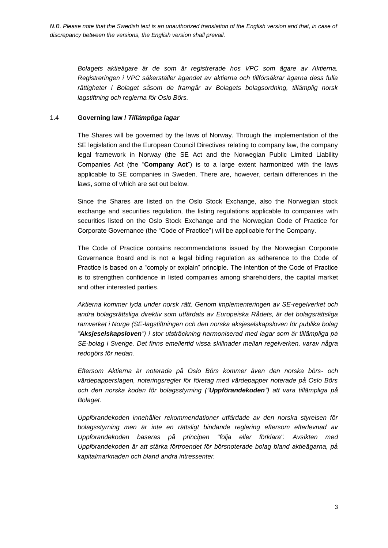*Bolagets aktieägare är de som är registrerade hos VPC som ägare av Aktierna. Registreringen i VPC säkerställer ägandet av aktierna och tillförsäkrar ägarna dess fulla rättigheter i Bolaget såsom de framgår av Bolagets bolagsordning, tillämplig norsk lagstiftning och reglerna för Oslo Börs.*

## 1.4 **Governing law /** *Tillämpliga lagar*

The Shares will be governed by the laws of Norway. Through the implementation of the SE legislation and the European Council Directives relating to company law, the company legal framework in Norway (the SE Act and the Norwegian Public Limited Liability Companies Act (the "**Company Act**") is to a large extent harmonized with the laws applicable to SE companies in Sweden. There are, however, certain differences in the laws, some of which are set out below.

Since the Shares are listed on the Oslo Stock Exchange, also the Norwegian stock exchange and securities regulation, the listing regulations applicable to companies with securities listed on the Oslo Stock Exchange and the Norwegian Code of Practice for Corporate Governance (the "Code of Practice") will be applicable for the Company.

The Code of Practice contains recommendations issued by the Norwegian Corporate Governance Board and is not a legal biding regulation as adherence to the Code of Practice is based on a "comply or explain" principle. The intention of the Code of Practice is to strengthen confidence in listed companies among shareholders, the capital market and other interested parties.

*Aktierna kommer lyda under norsk rätt. Genom implementeringen av SE-regelverket och andra bolagsrättsliga direktiv som utfärdats av Europeiska Rådets, är det bolagsrättsliga ramverket i Norge (SE-lagstiftningen och den norska aksjeselskapsloven för publika bolag "Aksjeselskapsloven") i stor utsträckning harmoniserad med lagar som är tillämpliga på SE-bolag i Sverige. Det finns emellertid vissa skillnader mellan regelverken, varav några redogörs för nedan.*

*Eftersom Aktierna är noterade på Oslo Börs kommer även den norska börs- och värdepapperslagen, noteringsregler för företag med värdepapper noterade på Oslo Börs och den norska koden för bolagsstyrning ("Uppförandekoden") att vara tillämpliga på Bolaget.*

*Uppförandekoden innehåller rekommendationer utfärdade av den norska styrelsen för bolagsstyrning men är inte en rättsligt bindande reglering eftersom efterlevnad av Uppförandekoden baseras på principen "följa eller förklara". Avsikten med Uppförandekoden är att stärka förtroendet för börsnoterade bolag bland aktieägarna, på kapitalmarknaden och bland andra intressenter.*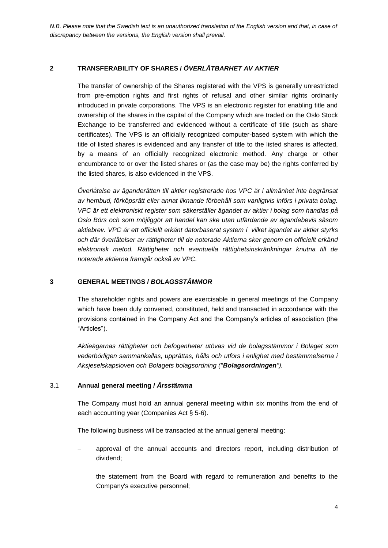## **2 TRANSFERABILITY OF SHARES /** *ÖVERLÅTBARHET AV AKTIER*

The transfer of ownership of the Shares registered with the VPS is generally unrestricted from pre-emption rights and first rights of refusal and other similar rights ordinarily introduced in private corporations. The VPS is an electronic register for enabling title and ownership of the shares in the capital of the Company which are traded on the Oslo Stock Exchange to be transferred and evidenced without a certificate of title (such as share certificates). The VPS is an officially recognized computer-based system with which the title of listed shares is evidenced and any transfer of title to the listed shares is affected, by a means of an officially recognized electronic method. Any charge or other encumbrance to or over the listed shares or (as the case may be) the rights conferred by the listed shares, is also evidenced in the VPS.

*Överlåtelse av äganderätten till aktier registrerade hos VPC är i allmänhet inte begränsat av hembud, förköpsrätt eller annat liknande förbehåll som vanligtvis införs i privata bolag. VPC är ett elektroniskt register som säkerställer ägandet av aktier i bolag som handlas på Oslo Börs och som möjliggör att handel kan ske utan utfärdande av ägandebevis såsom aktiebrev. VPC är ett officiellt erkänt datorbaserat system i vilket ägandet av aktier styrks och där överlåtelser av rättigheter till de noterade Aktierna sker genom en officiellt erkänd elektronisk metod. Rättigheter och eventuella rättighetsinskränkningar knutna till de noterade aktierna framgår också av VPC.*

### **3 GENERAL MEETINGS /** *BOLAGSSTÄMMOR*

The shareholder rights and powers are exercisable in general meetings of the Company which have been duly convened, constituted, held and transacted in accordance with the provisions contained in the Company Act and the Company's articles of association (the "Articles").

*Aktieägarnas rättigheter och befogenheter utövas vid de bolagsstämmor i Bolaget som vederbörligen sammankallas, upprättas, hålls och utförs i enlighet med bestämmelserna i Aksjeselskapsloven och Bolagets bolagsordning ("Bolagsordningen").*

### 3.1 **Annual general meeting /** *Årsstämma*

The Company must hold an annual general meeting within six months from the end of each accounting year (Companies Act § 5-6).

The following business will be transacted at the annual general meeting:

- approval of the annual accounts and directors report, including distribution of dividend;
- the statement from the Board with regard to remuneration and benefits to the Company's executive personnel;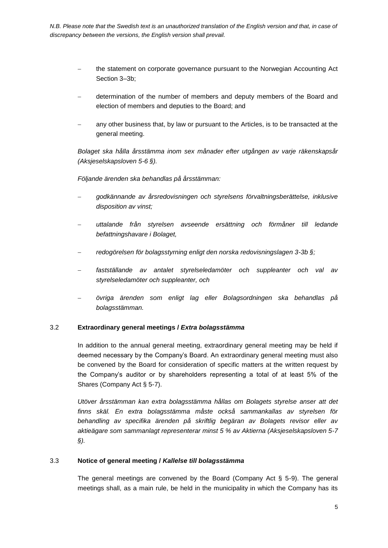- the statement on corporate governance pursuant to the Norwegian Accounting Act Section 3–3b;
- determination of the number of members and deputy members of the Board and election of members and deputies to the Board; and
- any other business that, by law or pursuant to the Articles, is to be transacted at the general meeting.

*Bolaget ska hålla årsstämma inom sex månader efter utgången av varje räkenskapsår (Aksjeselskapsloven 5-6 §).*

*Följande ärenden ska behandlas på årsstämman:*

- *godkännande av årsredovisningen och styrelsens förvaltningsberättelse, inklusive disposition av vinst;*
- *uttalande från styrelsen avseende ersättning och förmåner till ledande befattningshavare i Bolaget,*
- *redogörelsen för bolagsstyrning enligt den norska redovisningslagen 3-3b §;*
- *fastställande av antalet styrelseledamöter och suppleanter och val av styrelseledamöter och suppleanter, och*
- *övriga ärenden som enligt lag eller Bolagsordningen ska behandlas på bolagsstämman.*

#### 3.2 **Extraordinary general meetings /** *Extra bolagsstämma*

In addition to the annual general meeting, extraordinary general meeting may be held if deemed necessary by the Company's Board. An extraordinary general meeting must also be convened by the Board for consideration of specific matters at the written request by the Company's auditor or by shareholders representing a total of at least 5% of the Shares (Company Act § 5-7).

*Utöver årsstämman kan extra bolagsstämma hållas om Bolagets styrelse anser att det finns skäl. En extra bolagsstämma måste också sammankallas av styrelsen för behandling av specifika ärenden på skriftlig begäran av Bolagets revisor eller av aktieägare som sammanlagt representerar minst 5 % av Aktierna (Aksjeselskapsloven 5-7 §).*

#### 3.3 **Notice of general meeting /** *Kallelse till bolagsstämma*

The general meetings are convened by the Board (Company Act § 5-9). The general meetings shall, as a main rule, be held in the municipality in which the Company has its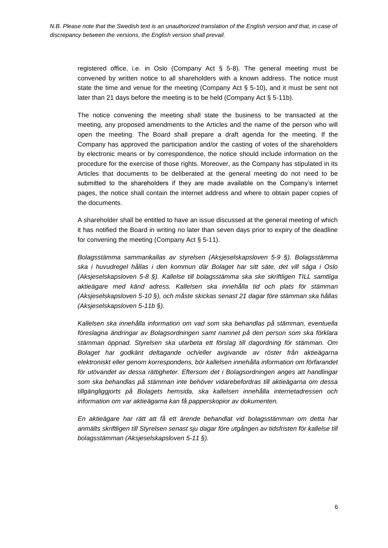registered office, i.e. in Oslo (Company Act  $\S$  5-8). The general meeting must be convened by written notice to all shareholders with a known address. The notice must state the time and venue for the meeting (Company Act § 5-10), and it must be sent not later than 21 days before the meeting is to be held (Company Act § 5-11b).

The notice convening the meeting shall state the business to be transacted at the meeting, any proposed amendments to the Articles and the name of the person who will open the meeting. The Board shall prepare a draft agenda for the meeting. If the Company has approved the participation and/or the casting of votes of the shareholders by electronic means or by correspondence, the notice should include information on the procedure for the exercise of those rights. Moreover, as the Company has stipulated in its Articles that documents to be deliberated at the general meeting do not need to be submitted to the shareholders if they are made available on the Company's internet pages, the notice shall contain the internet address and where to obtain paper copies of the documents.

A shareholder shall be entitled to have an issue discussed at the general meeting of which it has notified the Board in writing no later than seven days prior to expiry of the deadline for convening the meeting (Company Act § 5-11).

*Bolagsstämma sammankallas av styrelsen (Aksjeselskapsloven 5-9 §). Bolagsstämma ska i huvudregel hållas i den kommun där Bolaget har sitt säte, det vill säga i Oslo (Aksjeselskapsloven 5-8 §). Kallelse till bolagsstämma ska ske skriftligen TILL samtliga aktieägare med känd adress. Kallelsen ska innehålla tid och plats för stämman (Aksjeselskapsloven 5-10 §), och måste skickas senast 21 dagar före stämman ska hållas (Aksjeselskapsloven 5-11b §).*

*Kallelsen ska innehålla information om vad som ska behandlas på stämman, eventuella föreslagna ändringar av Bolagsordningen samt namnet på den person som ska förklara stämman öppnad. Styrelsen ska utarbeta ett förslag till dagordning för stämman. Om Bolaget har godkänt deltagande och/eller avgivande av röster från aktieägarna elektroniskt eller genom korrespondens, bör kallelsen innehålla information om förfarandet för utövandet av dessa rättigheter. Eftersom det i Bolagsordningen anges att handlingar som ska behandlas på stämman inte behöver vidarebefordras till aktieägarna om dessa tillgängliggjorts på Bolagets hemsida, ska kallelsen innehålla internetadressen och information om var aktieägarna kan få papperskopior av dokumenten.*

*En aktieägare har rätt att få ett ärende behandlat vid bolagsstämman om detta har anmälts skriftligen till Styrelsen senast sju dagar före utgången av tidsfristen för kallelse till bolagsstämman (Aksjeselskapsloven 5-11 §).*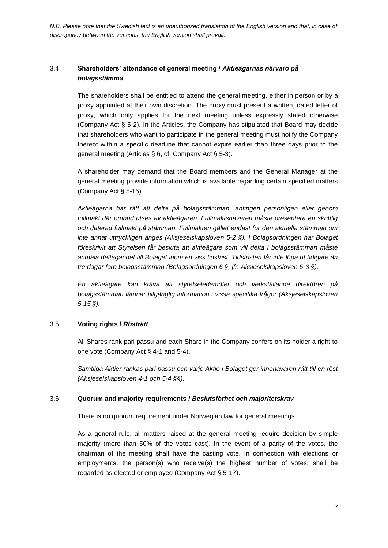# 3.4 **Shareholders' attendance of general meeting /** *Aktieägarnas närvaro på bolagsstämma*

The shareholders shall be entitled to attend the general meeting, either in person or by a proxy appointed at their own discretion. The proxy must present a written, dated letter of proxy, which only applies for the next meeting unless expressly stated otherwise (Company Act § 5-2). In the Articles, the Company has stipulated that Board may decide that shareholders who want to participate in the general meeting must notify the Company thereof within a specific deadline that cannot expire earlier than three days prior to the general meeting (Articles § 6, cf. Company Act § 5-3).

A shareholder may demand that the Board members and the General Manager at the general meeting provide information which is available regarding certain specified matters (Company Act § 5-15).

*Aktieägarna har rätt att delta på bolagsstämman, antingen personligen eller genom fullmakt där ombud utses av aktieägaren. Fullmaktshavaren måste presentera en skriftlig och daterad fullmakt på stämman. Fullmakten gället endast för den aktuella stämman om inte annat uttryckligen anges (Aksjeselskapsloven 5-2 §). I Bolagsordningen har Bolaget föreskrivit att Styrelsen får besluta att aktieägare som vill delta i bolagsstämman måste anmäla deltagandet till Bolaget inom en viss tidsfrist. Tidsfristen får inte löpa ut tidigare än tre dagar före bolagsstämman (Bolagsordningen 6 §, jfr. Aksjeselskapsloven 5-3 §).*

*En aktieägare kan kräva att styrelseledamöter och verkställande direktören på bolagsstämman lämnar tillgänglig information i vissa specifika frågor (Aksjeselskapsloven 5-15 §).*

### 3.5 **Voting rights /** *Rösträtt*

All Shares rank pari passu and each Share in the Company confers on its holder a right to one vote (Company Act § 4-1 and 5-4).

*Samtliga Aktier rankas pari passu och varje Aktie i Bolaget ger innehavaren rätt till en röst (Aksjeselskapsloven 4-1 och 5-4 §§).*

### <span id="page-6-0"></span>3.6 **Quorum and majority requirements /** *Beslutsförhet och majoritetskrav*

There is no quorum requirement under Norwegian law for general meetings.

As a general rule, all matters raised at the general meeting require decision by simple majority (more than 50% of the votes cast). In the event of a parity of the votes, the chairman of the meeting shall have the casting vote. In connection with elections or employments, the person(s) who receive(s) the highest number of votes, shall be regarded as elected or employed (Company Act § 5-17).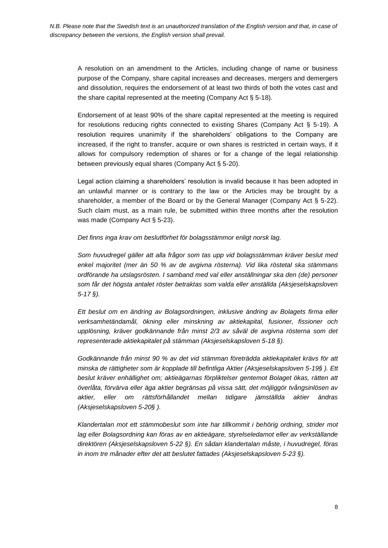A resolution on an amendment to the Articles, including change of name or business purpose of the Company, share capital increases and decreases, mergers and demergers and dissolution, requires the endorsement of at least two thirds of both the votes cast and the share capital represented at the meeting (Company Act § 5-18).

Endorsement of at least 90% of the share capital represented at the meeting is required for resolutions reducing rights connected to existing Shares (Company Act § 5-19). A resolution requires unanimity if the shareholders' obligations to the Company are increased, if the right to transfer, acquire or own shares is restricted in certain ways, if it allows for compulsory redemption of shares or for a change of the legal relationship between previously equal shares (Company Act § 5-20).

Legal action claiming a shareholders' resolution is invalid because it has been adopted in an unlawful manner or is contrary to the law or the Articles may be brought by a shareholder, a member of the Board or by the General Manager (Company Act § 5-22). Such claim must, as a main rule, be submitted within three months after the resolution was made (Company Act § 5-23).

*Det finns inga krav om beslutförhet för bolagsstämmor enligt norsk lag.*

*Som huvudregel gäller att alla frågor som tas upp vid bolagsstämman kräver beslut med enkel majoritet (mer än 50 % av de avgivna rösterna). Vid lika röstetal ska stämmans ordförande ha utslagsrösten. I samband med val eller anställningar ska den (de) personer som får det högsta antalet röster betraktas som valda eller anställda (Aksjeselskapsloven 5-17 §).*

*Ett beslut om en ändring av Bolagsordningen, inklusive ändring av Bolagets firma eller verksamhetändamål, ökning eller minskning av aktiekapital, fusioner, fissioner och upplösning, kräver godkännande från minst 2/3 av såväl de avgivna rösterna som det representerade aktiekapitalet på stämman (Aksjeselskapsloven 5-18 §).*

*Godkännande från minst 90 % av det vid stämman företrädda aktiekapitalet krävs för att minska de rättigheter som är kopplade till befintliga Aktier (Aksjeselskapsloven 5-19§ ). Ett beslut kräver enhällighet om; aktieägarnas förpliktelser gentemot Bolaget ökas, rätten att överlåta, förvärva eller äga aktier begränsas på vissa sätt, det möjliggör tvångsinlösen av aktier, eller om rättsförhållandet mellan tidigare jämställda aktier ändras (Aksjeselskapsloven 5-20§ ).*

*Klandertalan mot ett stämmobeslut som inte har tillkommit i behörig ordning, strider mot lag eller Bolagsordning kan föras av en aktieägare, styrelseledamot eller av verkställande direktören (Aksjeselskapsloven 5-22 §). En sådan klandertalan måste, i huvudregel, föras in inom tre månader efter det att beslutet fattades (Aksjeselskapsloven 5-23 §).*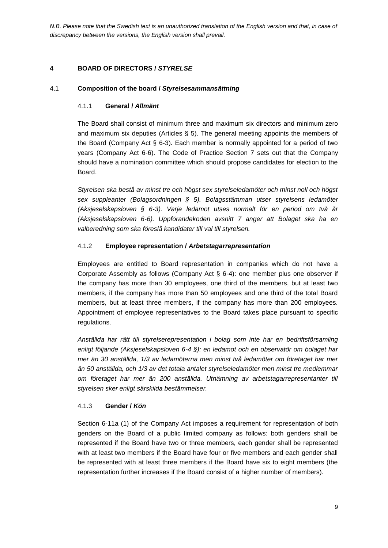## **4 BOARD OF DIRECTORS /** *STYRELSE*

### 4.1 **Composition of the board /** *Styrelsesammansättning*

### 4.1.1 **General /** *Allmänt*

The Board shall consist of minimum three and maximum six directors and minimum zero and maximum six deputies (Articles  $\S$  5). The general meeting appoints the members of the Board (Company Act § 6-3). Each member is normally appointed for a period of two years (Company Act 6-6). The Code of Practice Section 7 sets out that the Company should have a nomination committee which should propose candidates for election to the Board.

*Styrelsen ska bestå av minst tre och högst sex styrelseledamöter och minst noll och högst sex suppleanter (Bolagsordningen § 5). Bolagsstämman utser styrelsens ledamöter (Aksjeselskapsloven § 6-3). Varje ledamot utses normalt för en period om två år (Aksjeselskapsloven 6-6). Uppförandekoden avsnitt 7 anger att Bolaget ska ha en valberedning som ska föreslå kandidater till val till styrelsen.*

### 4.1.2 **Employee representation /** *Arbetstagarrepresentation*

Employees are entitled to Board representation in companies which do not have a Corporate Assembly as follows (Company Act § 6-4): one member plus one observer if the company has more than 30 employees, one third of the members, but at least two members, if the company has more than 50 employees and one third of the total Board members, but at least three members, if the company has more than 200 employees. Appointment of employee representatives to the Board takes place pursuant to specific regulations.

*Anställda har rätt till styrelserepresentation i bolag som inte har en bedriftsförsamling enligt följande (Aksjeselskapsloven 6-4 §): en ledamot och en observatör om bolaget har mer än 30 anställda, 1/3 av ledamöterna men minst två ledamöter om företaget har mer än 50 anställda, och 1/3 av det totala antalet styrelseledamöter men minst tre medlemmar om företaget har mer än 200 anställda. Utnämning av arbetstagarrepresentanter till styrelsen sker enligt särskilda bestämmelser.*

### 4.1.3 **Gender /** *Kön*

Section 6-11a (1) of the Company Act imposes a requirement for representation of both genders on the Board of a public limited company as follows: both genders shall be represented if the Board have two or three members, each gender shall be represented with at least two members if the Board have four or five members and each gender shall be represented with at least three members if the Board have six to eight members (the representation further increases if the Board consist of a higher number of members).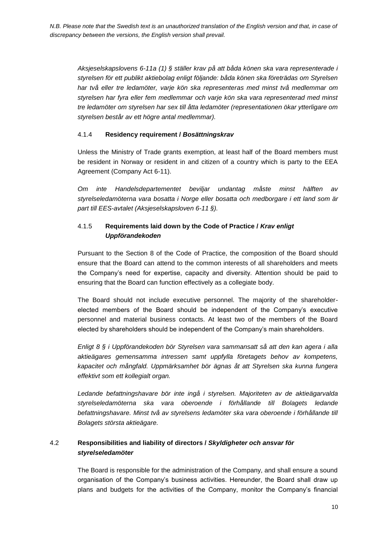*Aksjeselskapslovens 6-11a (1) § ställer krav på att båda könen ska vara representerade i styrelsen för ett publikt aktiebolag enligt följande: båda könen ska företrädas om Styrelsen har två eller tre ledamöter, varje kön ska representeras med minst två medlemmar om styrelsen har fyra eller fem medlemmar och varje kön ska vara representerad med minst tre ledamöter om styrelsen har sex till åtta ledamöter (representationen ökar ytterligare om styrelsen består av ett högre antal medlemmar).*

## 4.1.4 **Residency requirement /** *Bosättningskrav*

Unless the Ministry of Trade grants exemption, at least half of the Board members must be resident in Norway or resident in and citizen of a country which is party to the EEA Agreement (Company Act 6-11).

*Om inte Handelsdepartementet beviljar undantag måste minst hälften av styrelseledamöterna vara bosatta i Norge eller bosatta och medborgare i ett land som är part till EES-avtalet (Aksjeselskapsloven 6-11 §).*

# 4.1.5 **Requirements laid down by the Code of Practice /** *Krav enligt Uppförandekoden*

Pursuant to the Section 8 of the Code of Practice, the composition of the Board should ensure that the Board can attend to the common interests of all shareholders and meets the Company's need for expertise, capacity and diversity. Attention should be paid to ensuring that the Board can function effectively as a collegiate body.

The Board should not include executive personnel. The majority of the shareholderelected members of the Board should be independent of the Company's executive personnel and material business contacts. At least two of the members of the Board elected by shareholders should be independent of the Company's main shareholders.

*Enligt 8 § i Uppförandekoden bör Styrelsen vara sammansatt så att den kan agera i alla aktieägares gemensamma intressen samt uppfylla företagets behov av kompetens, kapacitet och mångfald. Uppmärksamhet bör ägnas åt att Styrelsen ska kunna fungera effektivt som ett kollegialt organ.*

*Ledande befattningshavare bör inte ingå i styrelsen. Majoriteten av de aktieägarvalda styrelseledamöterna ska vara oberoende i förhållande till Bolagets ledande befattningshavare. Minst två av styrelsens ledamöter ska vara oberoende i förhållande till Bolagets största aktieägare.*

# 4.2 **Responsibilities and liability of directors /** *Skyldigheter och ansvar för styrelseledamöter*

The Board is responsible for the administration of the Company, and shall ensure a sound organisation of the Company's business activities. Hereunder, the Board shall draw up plans and budgets for the activities of the Company, monitor the Company's financial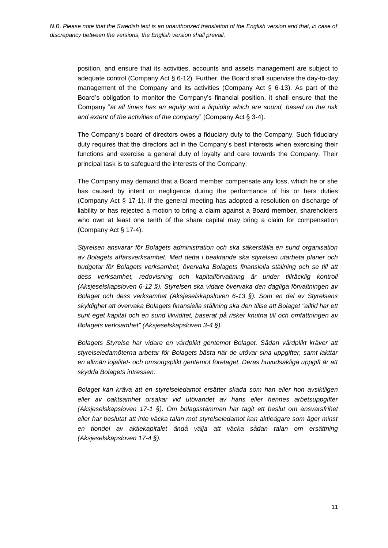position, and ensure that its activities, accounts and assets management are subject to adequate control (Company Act § 6-12). Further, the Board shall supervise the day-to-day management of the Company and its activities (Company Act  $\S$  6-13). As part of the Board's obligation to monitor the Company's financial position, it shall ensure that the Company "*at all times has an equity and a liquidity which are sound, based on the risk and extent of the activities of the company*" (Company Act § 3-4).

The Company's board of directors owes a fiduciary duty to the Company. Such fiduciary duty requires that the directors act in the Company's best interests when exercising their functions and exercise a general duty of loyalty and care towards the Company. Their principal task is to safeguard the interests of the Company.

The Company may demand that a Board member compensate any loss, which he or she has caused by intent or negligence during the performance of his or hers duties (Company Act § 17-1). If the general meeting has adopted a resolution on discharge of liability or has rejected a motion to bring a claim against a Board member, shareholders who own at least one tenth of the share capital may bring a claim for compensation (Company Act § 17-4).

*Styrelsen ansvarar för Bolagets administration och ska säkerställa en sund organisation av Bolagets affärsverksamhet. Med detta i beaktande ska styrelsen utarbeta planer och budgetar för Bolagets verksamhet, övervaka Bolagets finansiella ställning och se till att dess verksamhet, redovisning och kapitalförvaltning är under tillräcklig kontroll (Aksjeselskapsloven 6-12 §). Styrelsen ska vidare övervaka den dagliga förvaltningen av Bolaget och dess verksamhet (Aksjeselskapsloven 6-13 §). Som en del av Styrelsens skyldighet att övervaka Bolagets finansiella ställning ska den tillse att Bolaget "alltid har ett sunt eget kapital och en sund likviditet, baserat på risker knutna till och omfattningen av Bolagets verksamhet" (Aksjeselskapsloven 3-4 §).*

*Bolagets Styrelse har vidare en vårdplikt gentemot Bolaget. Sådan vårdplikt kräver att styrelseledamöterna arbetar för Bolagets bästa när de utövar sina uppgifter, samt iakttar en allmän lojalitet- och omsorgsplikt gentemot företaget. Deras huvudsakliga uppgift är att skydda Bolagets intressen.*

*Bolaget kan kräva att en styrelseledamot ersätter skada som han eller hon avsiktligen eller av oaktsamhet orsakar vid utövandet av hans eller hennes arbetsuppgifter (Aksjeselskapsloven 17-1 §). Om bolagsstämman har tagit ett beslut om ansvarsfrihet eller har beslutat att inte väcka talan mot styrelseledamot kan aktieägare som äger minst en tiondel av aktiekapitalet ändå välja att väcka sådan talan om ersättning (Aksjeselskapsloven 17-4 §).*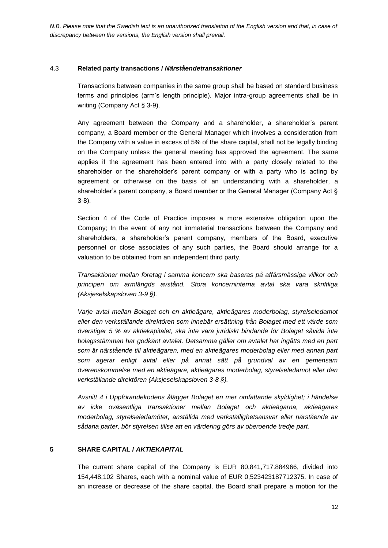#### 4.3 **Related party transactions /** *Närståendetransaktioner*

Transactions between companies in the same group shall be based on standard business terms and principles (arm's length principle). Major intra-group agreements shall be in writing (Company Act § 3-9).

Any agreement between the Company and a shareholder, a shareholder's parent company, a Board member or the General Manager which involves a consideration from the Company with a value in excess of 5% of the share capital, shall not be legally binding on the Company unless the general meeting has approved the agreement. The same applies if the agreement has been entered into with a party closely related to the shareholder or the shareholder's parent company or with a party who is acting by agreement or otherwise on the basis of an understanding with a shareholder, a shareholder's parent company, a Board member or the General Manager (Company Act § 3-8).

Section 4 of the Code of Practice imposes a more extensive obligation upon the Company; In the event of any not immaterial transactions between the Company and shareholders, a shareholder's parent company, members of the Board, executive personnel or close associates of any such parties, the Board should arrange for a valuation to be obtained from an independent third party.

*Transaktioner mellan företag i samma koncern ska baseras på affärsmässiga villkor och principen om armlängds avstånd. Stora koncerninterna avtal ska vara skriftliga (Aksjeselskapsloven 3-9 §).*

*Varje avtal mellan Bolaget och en aktieägare, aktieägares moderbolag, styrelseledamot eller den verkställande direktören som innebär ersättning från Bolaget med ett värde som överstiger 5 % av aktiekapitalet, ska inte vara juridiskt bindande för Bolaget såvida inte bolagsstämman har godkänt avtalet. Detsamma gäller om avtalet har ingåtts med en part som är närstående till aktieägaren, med en aktieägares moderbolag eller med annan part som agerar enligt avtal eller på annat sätt på grundval av en gemensam överenskommelse med en aktieägare, aktieägares moderbolag, styrelseledamot eller den verkställande direktören (Aksjeselskapsloven 3-8 §).*

*Avsnitt 4 i Uppförandekodens ålägger Bolaget en mer omfattande skyldighet; i händelse av icke oväsentliga transaktioner mellan Bolaget och aktieägarna, aktieägares moderbolag, styrelseledamöter, anställda med verkställighetsansvar eller närstående av sådana parter, bör styrelsen tillse att en värdering görs av oberoende tredje part.*

#### **5 SHARE CAPITAL /** *AKTIEKAPITAL*

The current share capital of the Company is EUR 80,841,717.884966, divided into 154,448,102 Shares, each with a nominal value of EUR 0,523423187712375. In case of an increase or decrease of the share capital, the Board shall prepare a motion for the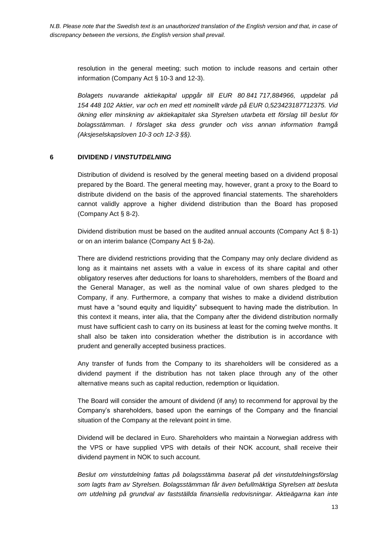resolution in the general meeting; such motion to include reasons and certain other information (Company Act § 10-3 and 12-3).

*Bolagets nuvarande aktiekapital uppgår till EUR 80 841 717,884966, uppdelat på 154 448 102 Aktier, var och en med ett nominellt värde på EUR 0,523423187712375. Vid ökning eller minskning av aktiekapitalet ska Styrelsen utarbeta ett förslag till beslut för bolagsstämman. I förslaget ska dess grunder och viss annan information framgå (Aksjeselskapsloven 10-3 och 12-3 §§).*

### **6 DIVIDEND /** *VINSTUTDELNING*

Distribution of dividend is resolved by the general meeting based on a dividend proposal prepared by the Board. The general meeting may, however, grant a proxy to the Board to distribute dividend on the basis of the approved financial statements. The shareholders cannot validly approve a higher dividend distribution than the Board has proposed (Company Act § 8-2).

Dividend distribution must be based on the audited annual accounts (Company Act § 8-1) or on an interim balance (Company Act § 8-2a).

There are dividend restrictions providing that the Company may only declare dividend as long as it maintains net assets with a value in excess of its share capital and other obligatory reserves after deductions for loans to shareholders, members of the Board and the General Manager, as well as the nominal value of own shares pledged to the Company, if any. Furthermore, a company that wishes to make a dividend distribution must have a "sound equity and liquidity" subsequent to having made the distribution. In this context it means, inter alia, that the Company after the dividend distribution normally must have sufficient cash to carry on its business at least for the coming twelve months. It shall also be taken into consideration whether the distribution is in accordance with prudent and generally accepted business practices.

Any transfer of funds from the Company to its shareholders will be considered as a dividend payment if the distribution has not taken place through any of the other alternative means such as capital reduction, redemption or liquidation.

The Board will consider the amount of dividend (if any) to recommend for approval by the Company's shareholders, based upon the earnings of the Company and the financial situation of the Company at the relevant point in time.

Dividend will be declared in Euro. Shareholders who maintain a Norwegian address with the VPS or have supplied VPS with details of their NOK account, shall receive their dividend payment in NOK to such account.

*Beslut om vinstutdelning fattas på bolagsstämma baserat på det vinstutdelningsförslag som lagts fram av Styrelsen. Bolagsstämman får även befullmäktiga Styrelsen att besluta om utdelning på grundval av fastställda finansiella redovisningar. Aktieägarna kan inte*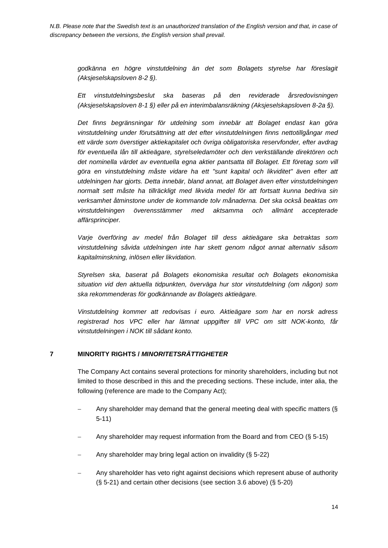*godkänna en högre vinstutdelning än det som Bolagets styrelse har föreslagit (Aksjeselskapsloven 8-2 §).*

*Ett vinstutdelningsbeslut ska baseras på den reviderade årsredovisningen (Aksjeselskapsloven 8-1 §) eller på en interimbalansräkning (Aksjeselskapsloven 8-2a §).*

*Det finns begränsningar för utdelning som innebär att Bolaget endast kan göra vinstutdelning under förutsättning att det efter vinstutdelningen finns nettotillgångar med ett värde som överstiger aktiekapitalet och övriga obligatoriska reservfonder, efter avdrag för eventuella lån till aktieägare, styrelseledamöter och den verkställande direktören och det nominella värdet av eventuella egna aktier pantsatta till Bolaget. Ett företag som vill göra en vinstutdelning måste vidare ha ett "sunt kapital och likviditet" även efter att utdelningen har gjorts. Detta innebär, bland annat, att Bolaget även efter vinstutdelningen normalt sett måste ha tillräckligt med likvida medel för att fortsatt kunna bedriva sin verksamhet åtminstone under de kommande tolv månaderna. Det ska också beaktas om vinstutdelningen överensstämmer med aktsamma och allmänt accepterade affärsprinciper.*

*Varje överföring av medel från Bolaget till dess aktieägare ska betraktas som vinstutdelning såvida utdelningen inte har skett genom något annat alternativ såsom kapitalminskning, inlösen eller likvidation.*

*Styrelsen ska, baserat på Bolagets ekonomiska resultat och Bolagets ekonomiska situation vid den aktuella tidpunkten, överväga hur stor vinstutdelning (om någon) som ska rekommenderas för godkännande av Bolagets aktieägare.* 

*Vinstutdelning kommer att redovisas i euro. Aktieägare som har en norsk adress registrerad hos VPC eller har lämnat uppgifter till VPC om sitt NOK-konto, får vinstutdelningen i NOK till sådant konto.*

#### **7 MINORITY RIGHTS /** *MINORITETSRÄTTIGHETER*

The Company Act contains several protections for minority shareholders, including but not limited to those described in this and the preceding sections. These include, inter alia, the following (reference are made to the Company Act);

- Any shareholder may demand that the general meeting deal with specific matters (§ 5-11)
- Any shareholder may request information from the Board and from CEO (§ 5-15)
- Any shareholder may bring legal action on invalidity (§ 5-22)
- Any shareholder has veto right against decisions which represent abuse of authority (§ 5-21) and certain other decisions (see section [3.6](#page-6-0) above) (§ 5-20)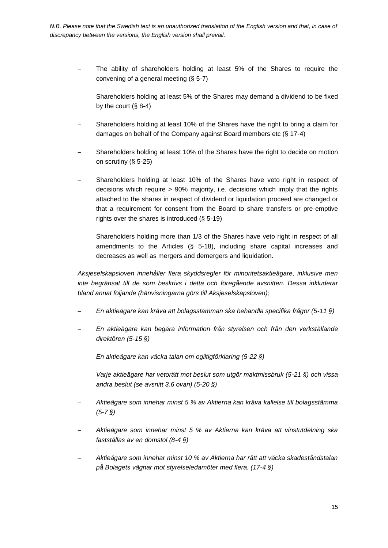- The ability of shareholders holding at least 5% of the Shares to require the convening of a general meeting (§ 5-7)
- Shareholders holding at least 5% of the Shares may demand a dividend to be fixed by the court (§ 8-4)
- Shareholders holding at least 10% of the Shares have the right to bring a claim for damages on behalf of the Company against Board members etc (§ 17-4)
- Shareholders holding at least 10% of the Shares have the right to decide on motion on scrutiny (§ 5-25)
- Shareholders holding at least 10% of the Shares have veto right in respect of decisions which require > 90% majority, i.e. decisions which imply that the rights attached to the shares in respect of dividend or liquidation proceed are changed or that a requirement for consent from the Board to share transfers or pre-emptive rights over the shares is introduced (§ 5-19)
- Shareholders holding more than 1/3 of the Shares have veto right in respect of all amendments to the Articles (§ 5-18), including share capital increases and decreases as well as mergers and demergers and liquidation.

*Aksjeselskapsloven innehåller flera skyddsregler för minoritetsaktieägare, inklusive men inte begränsat till de som beskrivs i detta och föregående avsnitten. Dessa inkluderar bland annat följande (hänvisningarna görs till Aksjeselskapsloven);*

- *En aktieägare kan kräva att bolagsstämman ska behandla specifika frågor (5-11 §)*
- *En aktieägare kan begära information från styrelsen och från den verkställande direktören (5-15 §)*
- *En aktieägare kan väcka talan om ogiltigförklaring (5-22 §)*
- *Varje aktieägare har vetorätt mot beslut som utgör maktmissbruk (5-21 §) och vissa andra beslut (se avsnitt 3.6 ovan) (5-20 §)*
- *Aktieägare som innehar minst 5 % av Aktierna kan kräva kallelse till bolagsstämma (5-7 §)*
- *Aktieägare som innehar minst 5 % av Aktierna kan kräva att vinstutdelning ska fastställas av en domstol (8-4 §)*
- *Aktieägare som innehar minst 10 % av Aktierna har rätt att väcka skadeståndstalan på Bolagets vägnar mot styrelseledamöter med flera. (17-4 §)*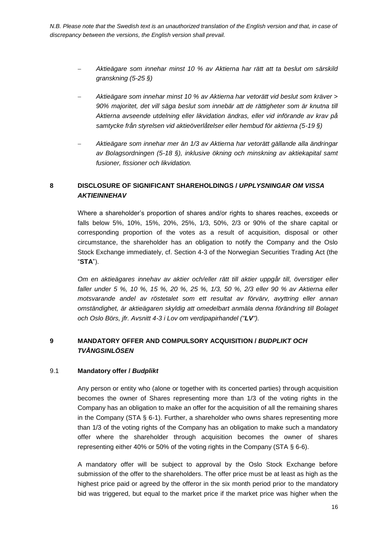- *Aktieägare som innehar minst 10 % av Aktierna har rätt att ta beslut om särskild granskning (5-25 §)*
- *Aktieägare som innehar minst 10 % av Aktierna har vetorätt vid beslut som kräver > 90% majoritet, det vill säga beslut som innebär att de rättigheter som är knutna till Aktierna avseende utdelning eller likvidation ändras, eller vid införande av krav på samtycke från styrelsen vid aktieöverlåtelser eller hembud för aktierna (5-19 §)*
- *Aktieägare som innehar mer än 1/3 av Aktierna har vetorätt gällande alla ändringar av Bolagsordningen (5-18 §), inklusive ökning och minskning av aktiekapital samt fusioner, fissioner och likvidation.*

# **8 DISCLOSURE OF SIGNIFICANT SHAREHOLDINGS /** *UPPLYSNINGAR OM VISSA AKTIEINNEHAV*

Where a shareholder's proportion of shares and/or rights to shares reaches, exceeds or falls below 5%, 10%, 15%, 20%, 25%, 1/3, 50%, 2/3 or 90% of the share capital or corresponding proportion of the votes as a result of acquisition, disposal or other circumstance, the shareholder has an obligation to notify the Company and the Oslo Stock Exchange immediately, cf. Section 4-3 of the Norwegian Securities Trading Act (the "**STA**").

*Om en aktieägares innehav av aktier och/eller rätt till aktier uppgår till, överstiger eller faller under 5 %, 10 %, 15 %, 20 %, 25 %, 1/3, 50 %, 2/3 eller 90 % av Aktierna eller motsvarande andel av röstetalet som ett resultat av förvärv, avyttring eller annan omständighet, är aktieägaren skyldig att omedelbart anmäla denna förändring till Bolaget och Oslo Börs, jfr. Avsnitt 4-3 i Lov om verdipapirhandel ("LV").*

# **9 MANDATORY OFFER AND COMPULSORY ACQUISITION /** *BUDPLIKT OCH TVÅNGSINLÖSEN*

### 9.1 **Mandatory offer /** *Budplikt*

Any person or entity who (alone or together with its concerted parties) through acquisition becomes the owner of Shares representing more than 1/3 of the voting rights in the Company has an obligation to make an offer for the acquisition of all the remaining shares in the Company (STA  $\S$  6-1). Further, a shareholder who owns shares representing more than 1/3 of the voting rights of the Company has an obligation to make such a mandatory offer where the shareholder through acquisition becomes the owner of shares representing either 40% or 50% of the voting rights in the Company (STA § 6-6).

A mandatory offer will be subject to approval by the Oslo Stock Exchange before submission of the offer to the shareholders. The offer price must be at least as high as the highest price paid or agreed by the offeror in the six month period prior to the mandatory bid was triggered, but equal to the market price if the market price was higher when the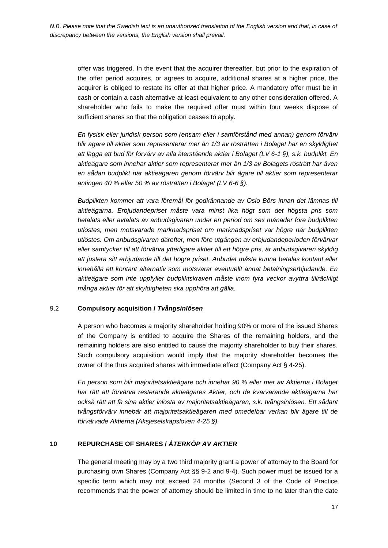offer was triggered. In the event that the acquirer thereafter, but prior to the expiration of the offer period acquires, or agrees to acquire, additional shares at a higher price, the acquirer is obliged to restate its offer at that higher price. A mandatory offer must be in cash or contain a cash alternative at least equivalent to any other consideration offered. A shareholder who fails to make the required offer must within four weeks dispose of sufficient shares so that the obligation ceases to apply.

*En fysisk eller juridisk person som (ensam eller i samförstånd med annan) genom förvärv blir ägare till aktier som representerar mer än 1/3 av rösträtten i Bolaget har en skyldighet att lägga ett bud för förvärv av alla återstående aktier i Bolaget (LV 6-1 §), s.k. budplikt. En aktieägare som innehar aktier som representerar mer än 1/3 av Bolagets rösträtt har även en sådan budplikt när aktieägaren genom förvärv blir ägare till aktier som representerar antingen 40 % eller 50 % av rösträtten i Bolaget (LV 6-6 §).* 

*Budplikten kommer att vara föremål för godkännande av Oslo Börs innan det lämnas till aktieägarna. Erbjudandepriset måste vara minst lika högt som det högsta pris som betalats eller avtalats av anbudsgivaren under en period om sex månader före budplikten utlöstes, men motsvarade marknadspriset om marknadspriset var högre när budplikten utlöstes. Om anbudsgivaren därefter, men före utgången av erbjudandeperioden förvärvar eller samtycker till att förvärva ytterligare aktier till ett högre pris, är anbudsgivaren skyldig att justera sitt erbjudande till det högre priset. Anbudet måste kunna betalas kontant eller innehålla ett kontant alternativ som motsvarar eventuellt annat betalningserbjudande. En aktieägare som inte uppfyller budpliktskraven måste inom fyra veckor avyttra tillräckligt många aktier för att skyldigheten ska upphöra att gälla.* 

### 9.2 **Compulsory acquisition /** *Tvångsinlösen*

A person who becomes a majority shareholder holding 90% or more of the issued Shares of the Company is entitled to acquire the Shares of the remaining holders, and the remaining holders are also entitled to cause the majority shareholder to buy their shares. Such compulsory acquisition would imply that the majority shareholder becomes the owner of the thus acquired shares with immediate effect (Company Act § 4-25).

*En person som blir majoritetsaktieägare och innehar 90 % eller mer av Aktierna i Bolaget har rätt att förvärva resterande aktieägares Aktier, och de kvarvarande aktieägarna har också rätt att få sina aktier inlösta av majoritetsaktieägaren, s.k. tvångsinlösen. Ett sådant tvångsförvärv innebär att majoritetsaktieägaren med omedelbar verkan blir ägare till de förvärvade Aktierna (Aksjeselskapsloven 4-25 §).*

# **10 REPURCHASE OF SHARES /** *ÅTERKÖP AV AKTIER*

The general meeting may by a two third majority grant a power of attorney to the Board for purchasing own Shares (Company Act §§ 9-2 and 9-4). Such power must be issued for a specific term which may not exceed 24 months (Second 3 of the Code of Practice recommends that the power of attorney should be limited in time to no later than the date